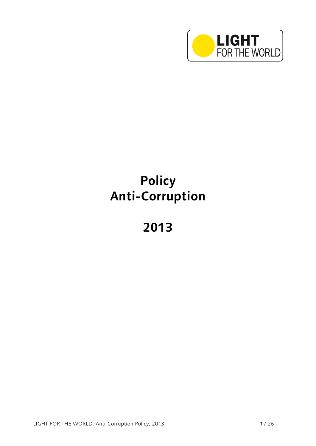

# **Policy Anti-Corruption**

**2013**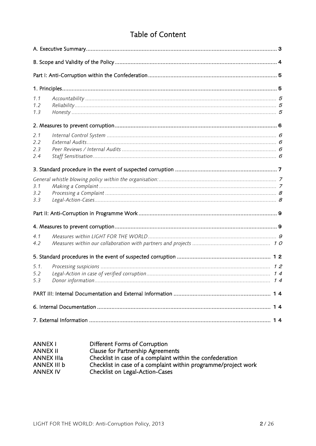# Table of Content

| 1.1<br>1.2<br>1.3        |      |  |  |  |
|--------------------------|------|--|--|--|
|                          |      |  |  |  |
| 2.1<br>2.2<br>2.3<br>2.4 |      |  |  |  |
|                          |      |  |  |  |
| 3.1<br>3.2<br>3.3        |      |  |  |  |
|                          |      |  |  |  |
|                          |      |  |  |  |
| 4.1<br>4.2               |      |  |  |  |
|                          |      |  |  |  |
| 5.1.<br>5.2<br>5.3       | . 14 |  |  |  |
|                          |      |  |  |  |
|                          |      |  |  |  |
|                          |      |  |  |  |

| Different Forms of Corruption                                  |
|----------------------------------------------------------------|
| <b>Clause for Partnership Agreements</b>                       |
| Checklist in case of a complaint within the confederation      |
| Checklist in case of a complaint within programme/project work |
| Checklist on Legal-Action-Cases                                |
|                                                                |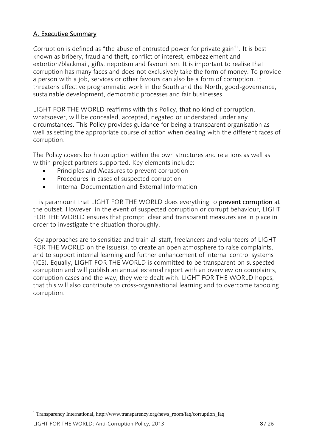#### <span id="page-2-0"></span>A. Executive Summary

Corruption is defined as "the abuse of entrusted power for private gain<sup>1</sup>". It is best known as bribery, fraud and theft, conflict of interest, embezzlement and extortion/blackmail, gifts, nepotism and favouritism. It is important to realise that corruption has many faces and does not exclusively take the form of money. To provide a person with a job, services or other favours can also be a form of corruption. It threatens effective programmatic work in the South and the North, good-governance, sustainable development, democratic processes and fair businesses.

LIGHT FOR THE WORLD reaffirms with this Policy, that no kind of corruption, whatsoever, will be concealed, accepted, negated or understated under any circumstances. This Policy provides guidance for being a transparent organisation as well as setting the appropriate course of action when dealing with the different faces of corruption.

The Policy covers both corruption within the own structures and relations as well as within project partners supported. Key elements include:

- Principles and Measures to prevent corruption
- Procedures in cases of suspected corruption
- Internal Documentation and External Information

It is paramount that LIGHT FOR THE WORLD does everything to prevent corruption at the outset. However, in the event of suspected corruption or corrupt behaviour, LIGHT FOR THE WORLD ensures that prompt, clear and transparent measures are in place in order to investigate the situation thoroughly.

Key approaches are to sensitize and train all staff, freelancers and volunteers of LIGHT FOR THE WORLD on the issue(s), to create an open atmosphere to raise complaints, and to support internal learning and further enhancement of internal control systems (ICS). Equally, LIGHT FOR THE WORLD is committed to be transparent on suspected corruption and will publish an annual external report with an overview on complaints, corruption cases and the way, they were dealt with. LIGHT FOR THE WORLD hopes, that this will also contribute to cross-organisational learning and to overcome tabooing corruption.

 $\overline{a}$ 

<sup>&</sup>lt;sup>1</sup> Transparency International, http://www.transparency.org/news\_room/faq/corruption\_faq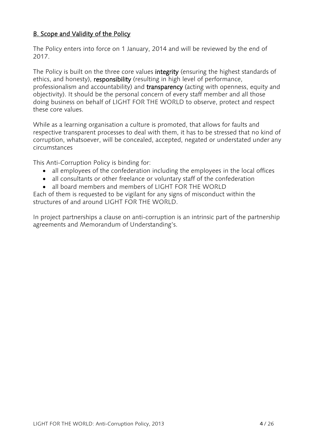#### <span id="page-3-0"></span>B. Scope and Validity of the Policy

The Policy enters into force on 1 January, 2014 and will be reviewed by the end of 2017.

The Policy is built on the three core values **integrity** (ensuring the highest standards of ethics, and honesty), responsibility (resulting in high level of performance, professionalism and accountability) and transparency (acting with openness, equity and objectivity). It should be the personal concern of every staff member and all those doing business on behalf of LIGHT FOR THE WORLD to observe, protect and respect these core values.

While as a learning organisation a culture is promoted, that allows for faults and respective transparent processes to deal with them, it has to be stressed that no kind of corruption, whatsoever, will be concealed, accepted, negated or understated under any circumstances

This Anti-Corruption Policy is binding for:

- all employees of the confederation including the employees in the local offices
- all consultants or other freelance or voluntary staff of the confederation
- all board members and members of LIGHT FOR THE WORLD

Each of them is requested to be vigilant for any signs of misconduct within the structures of and around LIGHT FOR THE WORLD.

In project partnerships a clause on anti-corruption is an intrinsic part of the partnership agreements and Memorandum of Understanding's.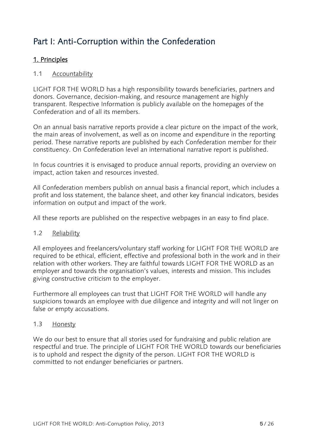# <span id="page-4-0"></span>Part I: Anti-Corruption within the Confederation

#### <span id="page-4-1"></span>1. Principles

#### <span id="page-4-2"></span>1.1 Accountability

LIGHT FOR THE WORLD has a high responsibility towards beneficiaries, partners and donors. Governance, decision-making, and resource management are highly transparent. Respective Information is publicly available on the homepages of the Confederation and of all its members.

On an annual basis narrative reports provide a clear picture on the impact of the work, the main areas of involvement, as well as on income and expenditure in the reporting period. These narrative reports are published by each Confederation member for their constituency. On Confederation level an international narrative report is published.

In focus countries it is envisaged to produce annual reports, providing an overview on impact, action taken and resources invested.

All Confederation members publish on annual basis a financial report, which includes a profit and loss statement, the balance sheet, and other key financial indicators, besides information on output and impact of the work.

All these reports are published on the respective webpages in an easy to find place.

#### <span id="page-4-3"></span>1.2 Reliability

All employees and freelancers/voluntary staff working for LIGHT FOR THE WORLD are required to be ethical, efficient, effective and professional both in the work and in their relation with other workers. They are faithful towards LIGHT FOR THE WORLD as an employer and towards the organisation's values, interests and mission. This includes giving constructive criticism to the employer.

Furthermore all employees can trust that LIGHT FOR THE WORLD will handle any suspicions towards an employee with due diligence and integrity and will not linger on false or empty accusations.

#### <span id="page-4-4"></span>1.3 Honesty

We do our best to ensure that all stories used for fundraising and public relation are respectful and true. The principle of LIGHT FOR THE WORLD towards our beneficiaries is to uphold and respect the dignity of the person. LIGHT FOR THE WORLD is committed to not endanger beneficiaries or partners.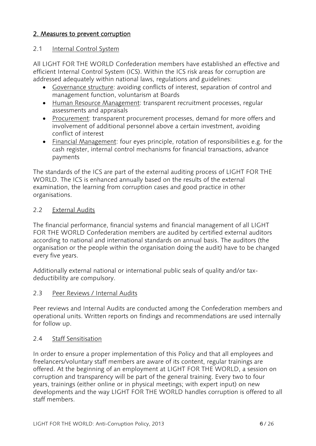#### <span id="page-5-0"></span>2. Measures to prevent corruption

#### <span id="page-5-1"></span>2.1 Internal Control System

All LIGHT FOR THE WORLD Confederation members have established an effective and efficient Internal Control System (ICS). Within the ICS risk areas for corruption are addressed adequately within national laws, regulations and guidelines:

- Governance structure: avoiding conflicts of interest, separation of control and management function, voluntarism at Boards
- Human Resource Management: transparent recruitment processes, regular assessments and appraisals
- Procurement: transparent procurement processes, demand for more offers and involvement of additional personnel above a certain investment, avoiding conflict of interest
- Financial Management: four eyes principle, rotation of responsibilities e.g. for the cash register, internal control mechanisms for financial transactions, advance payments

The standards of the ICS are part of the external auditing process of LIGHT FOR THE WORLD. The ICS is enhanced annually based on the results of the external examination, the learning from corruption cases and good practice in other organisations.

#### <span id="page-5-2"></span>2.2 External Audits

The financial performance, financial systems and financial management of all LIGHT FOR THE WORLD Confederation members are audited by certified external auditors according to national and international standards on annual basis. The auditors (the organisation or the people within the organisation doing the audit) have to be changed every five years.

Additionally external national or international public seals of quality and/or taxdeductibility are compulsory.

#### <span id="page-5-3"></span>2.3 Peer Reviews / Internal Audits

Peer reviews and Internal Audits are conducted among the Confederation members and operational units. Written reports on findings and recommendations are used internally for follow up.

#### <span id="page-5-4"></span>2.4 Staff Sensitisation

<span id="page-5-5"></span>In order to ensure a proper implementation of this Policy and that all employees and freelancers/voluntary staff members are aware of its content, regular trainings are offered. At the beginning of an employment at LIGHT FOR THE WORLD, a session on corruption and transparency will be part of the general training. Every two to four years, trainings (either online or in physical meetings; with expert input) on new developments and the way LIGHT FOR THE WORLD handles corruption is offered to all staff members.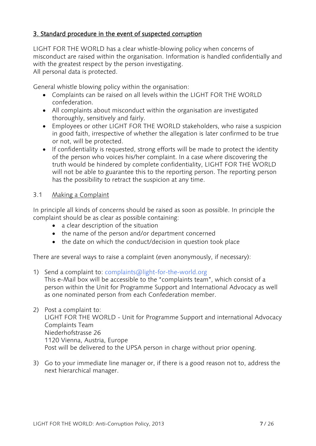#### 3. Standard procedure in the event of suspected corruption

LIGHT FOR THE WORLD has a clear whistle-blowing policy when concerns of misconduct are raised within the organisation. Information is handled confidentially and with the greatest respect by the person investigating. All personal data is protected.

<span id="page-6-0"></span>General whistle blowing policy within the organisation:

- Complaints can be raised on all levels within the LIGHT FOR THE WORLD confederation.
- All complaints about misconduct within the organisation are investigated thoroughly, sensitively and fairly.
- Employees or other LIGHT FOR THE WORLD stakeholders, who raise a suspicion in good faith, irrespective of whether the allegation is later confirmed to be true or not, will be protected.
- If confidentiality is requested, strong efforts will be made to protect the identity of the person who voices his/her complaint. In a case where discovering the truth would be hindered by complete confidentiality, LIGHT FOR THE WORLD will not be able to guarantee this to the reporting person. The reporting person has the possibility to retract the suspicion at any time.

#### <span id="page-6-1"></span>3.1 Making a Complaint

In principle all kinds of concerns should be raised as soon as possible. In principle the complaint should be as clear as possible containing:

- a clear description of the situation
- the name of the person and/or department concerned
- the date on which the conduct/decision in question took place

There are several ways to raise a complaint (even anonymously, if necessary):

- 1) Send a complaint to: complaint[s@light-for-the-world.org](mailto:complaints@light-for-the-world.org) This e-Mail box will be accessible to the "complaints team", which consist of a person within the Unit for Programme Support and International Advocacy as well as one nominated person from each Confederation member.
- 2) Post a complaint to: LIGHT FOR THE WORLD - Unit for Programme Support and international Advocacy Complaints Team Niederhofstrasse 26 1120 Vienna, Austria, Europe Post will be delivered to the UPSA person in charge without prior opening.
- 3) Go to your immediate line manager or, if there is a good reason not to, address the next hierarchical manager.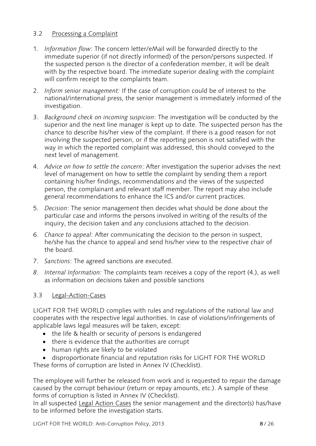#### <span id="page-7-0"></span>3.2 Processing a Complaint

- 1. *Information flow*: The concern letter/eMail will be forwarded directly to the immediate superior (if not directly informed) of the person/persons suspected. If the suspected person is the director of a confederation member, it will be dealt with by the respective board. The immediate superior dealing with the complaint will confirm receipt to the complaints team.
- 2. *Inform senior management:* If the case of corruption could be of interest to the national/international press, the senior management is immediately informed of the investigation.
- 3. *Background check on incoming suspicion*: The investigation will be conducted by the superior and the next line manager is kept up to date. The suspected person has the chance to describe his/her view of the complaint. If there is a good reason for not involving the suspected person, or if the reporting person is not satisfied with the way in which the reported complaint was addressed, this should conveyed to the next level of management.
- 4. *Advice on how to settle the concern*: After investigation the superior advises the next level of management on how to settle the complaint by sending them a report containing his/her findings, recommendations and the views of the suspected person, the complainant and relevant staff member. The report may also include general recommendations to enhance the ICS and/or current practices.
- 5. *Decision*: The senior management then decides what should be done about the particular case and informs the persons involved in writing of the results of the inquiry, the decision taken and any conclusions attached to the decision.
- 6. *Chance to appeal*: After communicating the decision to the person in suspect, he/she has the chance to appeal and send his/her view to the respective chair of the board.
- 7. *Sanctions*: The agreed sanctions are executed.
- *8. Internal Information:* The complaints team receives a copy of the report (4.), as well as information on decisions taken and possible sanctions

#### <span id="page-7-1"></span>3.3 Legal-Action-Cases

LIGHT FOR THE WORLD complies with rules and regulations of the national law and cooperates with the respective legal authorities. In case of violations/infringements of applicable laws legal measures will be taken, except:

- the life & health or security of persons is endangered
- there is evidence that the authorities are corrupt
- human rights are likely to be violated
- disproportionate financial and reputation risks for LIGHT FOR THE WORLD

These forms of corruption are listed in Annex IV (Checklist).

The employee will further be released from work and is requested to repair the damage caused by the corrupt behaviour (return or repay amounts, etc.). A sample of these forms of corruption is listed in Annex IV (Checklist).

In all suspected Legal Action Cases the senior management and the director(s) has/have to be informed before the investigation starts.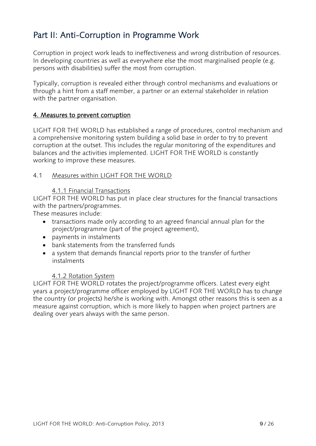# <span id="page-8-0"></span>Part II: Anti-Corruption in Programme Work

Corruption in project work leads to ineffectiveness and wrong distribution of resources. In developing countries as well as everywhere else the most marginalised people (e.g. persons with disabilities) suffer the most from corruption.

Typically, corruption is revealed either through control mechanisms and evaluations or through a hint from a staff member, a partner or an external stakeholder in relation with the partner organisation.

#### <span id="page-8-1"></span>4. Measures to prevent corruption

LIGHT FOR THE WORLD has established a range of procedures, control mechanism and a comprehensive monitoring system building a solid base in order to try to prevent corruption at the outset. This includes the regular monitoring of the expenditures and balances and the activities implemented. LIGHT FOR THE WORLD is constantly working to improve these measures.

#### <span id="page-8-2"></span>4.1 Measures within LIGHT FOR THE WORLD

#### 4.1.1 Financial Transactions

LIGHT FOR THE WORLD has put in place clear structures for the financial transactions with the partners/programmes.

These measures include:

- transactions made only according to an agreed financial annual plan for the project/programme (part of the project agreement),
- payments in instalments
- bank statements from the transferred funds
- a system that demands financial reports prior to the transfer of further instalments

#### 4.1.2 Rotation System

<span id="page-8-3"></span>LIGHT FOR THE WORLD rotates the project/programme officers. Latest every eight years a project/programme officer employed by LIGHT FOR THE WORLD has to change the country (or projects) he/she is working with. Amongst other reasons this is seen as a measure against corruption, which is more likely to happen when project partners are dealing over years always with the same person.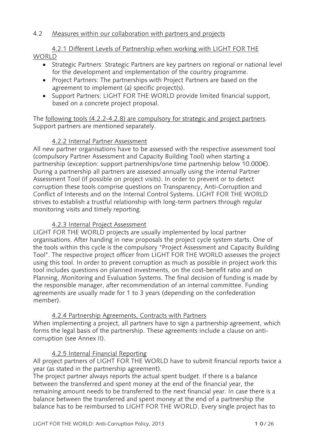#### 4.2 Measures within our collaboration with partners and projects

4.2.1 Different Levels of Partnership when working with LIGHT FOR THE **WORLD** 

- Strategic Partners: Strategic Partners are key partners on regional or national level for the development and implementation of the country programme.
- Project Partners: The partnerships with Project Partners are based on the agreement to implement (a) specific project(s).
- Support Partners: LIGHT FOR THE WORLD provide limited financial support, based on a concrete project proposal.

The following tools (4.2.2-4.2.8) are compulsory for strategic and project partners. Support partners are mentioned separately.

#### 4.2.2 Internal Partner Assessment

All new partner organisations have to be assessed with the respective assessment tool (compulsory Partner Assessment and Capacity Building Tool) when starting a partnership (exception: support partnerships/one time partnership below 10.000€). During a partnership all partners are assessed annually using the internal Partner Assessment Tool (if possible on project visits). In order to prevent or to detect corruption these tools comprise questions on Transparency, Anti-Corruption and Conflict of Interests and on the Internal Control Systems. LIGHT FOR THE WORLD strives to establish a trustful relationship with long-term partners through regular monitoring visits and timely reporting*.*

#### 4.2.3 Internal Project Assessment

LIGHT FOR THE WORLD projects are usually implemented by local partner organisations. After handing in new proposals the project cycle system starts. One of the tools within this cycle is the compulsory "Project Assessment and Capacity Building Tool". The respective project officer from LIGHT FOR THE WORLD assesses the project using this tool. In order to prevent corruption as much as possible in project work this tool includes questions on planned investments, on the cost-benefit ratio and on Planning, Monitoring and Evaluation Systems. The final decision of funding is made by the responsible manager, after recommendation of an internal committee. Funding agreements are usually made for 1 to 3 years (depending on the confederation member).

#### 4.2.4 Partnership Agreements, Contracts with Partners

When implementing a project, all partners have to sign a partnership agreement, which forms the legal basis of the partnership. These agreements include a clause on anticorruption (see Annex II).

#### 4.2.5 Internal Financial Reporting

All project partners of LIGHT FOR THE WORLD have to submit financial reports twice a year (as stated in the partnership agreement).

The project partner always reports the actual spent budget. If there is a balance between the transferred and spent money at the end of the financial year, the remaining amount needs to be transferred to the next financial year. In case there is a balance between the transferred and spent money at the end of a partnership the balance has to be reimbursed to LIGHT FOR THE WORLD. Every single project has to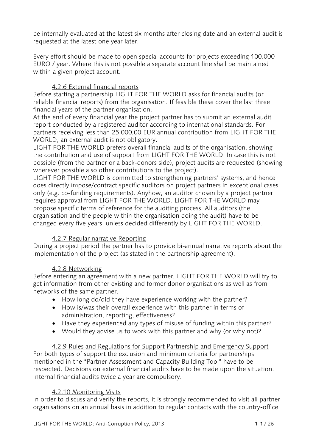be internally evaluated at the latest six months after closing date and an external audit is requested at the latest one year later.

Every effort should be made to open special accounts for projects exceeding 100.000 EURO / year. Where this is not possible a separate account line shall be maintained within a given project account.

#### 4.2.6 External financial reports

Before starting a partnership LIGHT FOR THE WORLD asks for financial audits (or reliable financial reports) from the organisation. If feasible these cover the last three financial years of the partner organisation.

At the end of every financial year the project partner has to submit an external audit report conducted by a registered auditor according to international standards. For partners receiving less than 25.000,00 EUR annual contribution from LIGHT FOR THE WORLD, an external audit is not obligatory.

LIGHT FOR THE WORLD prefers overall financial audits of the organisation, showing the contribution and use of support from LIGHT FOR THE WORLD. In case this is not possible (from the partner or a back-donors side), project audits are requested (showing wherever possible also other contributions to the project).

LIGHT FOR THE WORLD is committed to strengthening partners' systems, and hence does directly impose/contract specific auditors on project partners in exceptional cases only (e.g. co-funding requirements). Anyhow, an auditor chosen by a project partner requires approval from LIGHT FOR THE WORLD. LIGHT FOR THE WORLD may propose specific terms of reference for the auditing process. All auditors (the organisation and the people within the organisation doing the audit) have to be changed every five years, unless decided differently by LIGHT FOR THE WORLD.

#### 4.2.7 Regular narrative Reporting

During a project period the partner has to provide bi-annual narrative reports about the implementation of the project (as stated in the partnership agreement).

#### 4.2.8 Networking

Before entering an agreement with a new partner, LIGHT FOR THE WORLD will try to get information from other existing and former donor organisations as well as from networks of the same partner.

- How long do/did they have experience working with the partner?
- How is/was their overall experience with this partner in terms of administration, reporting, effectiveness?
- Have they experienced any types of misuse of funding within this partner?
- Would they advise us to work with this partner and why (or why not)?

#### 4.2.9 Rules and Regulations for Support Partnership and Emergency Support For both types of support the exclusion and minimum criteria for partnerships mentioned in the "Partner Assessment and Capacity Building Tool" have to be respected. Decisions on external financial audits have to be made upon the situation. Internal financial audits twice a year are compulsory.

#### 4.2.10 Monitoring Visits

In order to discuss and verify the reports, it is strongly recommended to visit all partner organisations on an annual basis in addition to regular contacts with the country-office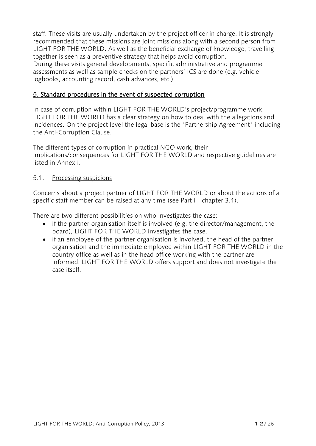staff. These visits are usually undertaken by the project officer in charge. It is strongly recommended that these missions are joint missions along with a second person from LIGHT FOR THE WORLD. As well as the beneficial exchange of knowledge, travelling together is seen as a preventive strategy that helps avoid corruption. During these visits general developments, specific administrative and programme assessments as well as sample checks on the partners' ICS are done (e.g. vehicle logbooks, accounting record, cash advances, etc.)

#### <span id="page-11-0"></span>5. Standard procedures in the event of suspected corruption

In case of corruption within LIGHT FOR THE WORLD's project/programme work, LIGHT FOR THE WORLD has a clear strategy on how to deal with the allegations and incidences. On the project level the legal base is the "Partnership Agreement" including the Anti-Corruption Clause.

The different types of corruption in practical NGO work, their implications/consequences for LIGHT FOR THE WORLD and respective guidelines are listed in Annex I.

#### <span id="page-11-1"></span>5.1. Processing suspicions

Concerns about a project partner of LIGHT FOR THE WORLD or about the actions of a specific staff member can be raised at any time (see Part I - chapter 3.1).

There are two different possibilities on who investigates the case:

- If the partner organisation itself is involved (e.g. the director/management, the board), LIGHT FOR THE WORLD investigates the case.
- If an employee of the partner organisation is involved, the head of the partner organisation and the immediate employee within LIGHT FOR THE WORLD in the country office as well as in the head office working with the partner are informed. LIGHT FOR THE WORLD offers support and does not investigate the case itself.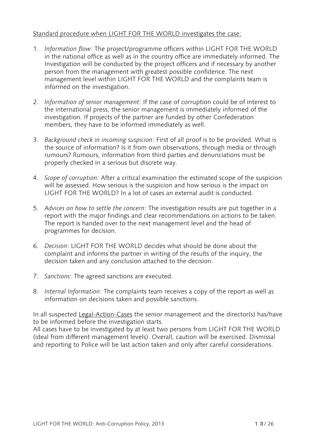#### Standard procedure when LIGHT FOR THE WORLD investigates the case:

- 1. *Information flow*: The project/programme officers within LIGHT FOR THE WORLD in the national office as well as in the country office are immediately informed. The Investigation will be conducted by the project officers and if necessary by another person from the management with greatest possible confidence. The next management level within LIGHT FOR THE WORLD and the complaints team is informed on the investigation.
- 2. *Information of senior management*: If the case of corruption could be of interest to the international press, the senior management is immediately informed of the investigation. If projects of the partner are funded by other Confederation members, they have to be informed immediately as well.
- 3. *Background check in incoming suspicion*: First of all proof is to be provided. What is the source of information? Is it from own observations, through media or through rumours? Rumours, information from third parties and denunciations must be properly checked in a serious but discrete way.
- 4. *Scope of corruption:* After a critical examination the estimated scope of the suspicion will be assessed. How serious is the suspicion and how serious is the impact on LIGHT FOR THE WORLD? In a lot of cases an external audit is conducted.
- 5. *Advices on how to settle the concern*: The investigation results are put together in a report with the major findings and clear recommendations on actions to be taken. The report is handed over to the next management level and the head of programmes for decision.
- 6. *Decision*: LIGHT FOR THE WORLD decides what should be done about the complaint and informs the partner in writing of the results of the inquiry, the decision taken and any conclusion attached to the decision.
- 7. *Sanctions*: The agreed sanctions are executed.
- 8. *Internal Information*: The complaints team receives a copy of the report as well as information on decisions taken and possible sanctions.

In all suspected Legal-Action-Cases the senior management and the director(s) has/have to be informed before the investigation starts.

<span id="page-12-0"></span>All cases have to be investigated by at least two persons from LIGHT FOR THE WORLD (ideal from different management levels). Overall, caution will be exercised. Dismissal and reporting to Police will be last action taken and only after careful considerations.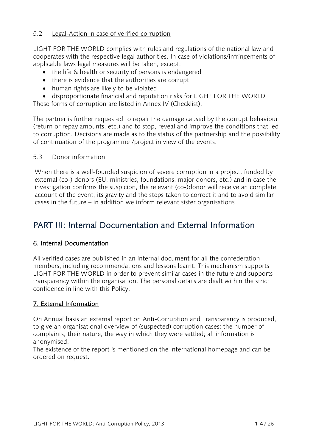#### 5.2 Legal-Action in case of verified corruption

LIGHT FOR THE WORLD complies with rules and regulations of the national law and cooperates with the respective legal authorities. In case of violations/infringements of applicable laws legal measures will be taken, except:

- the life & health or security of persons is endangered
- there is evidence that the authorities are corrupt
- human rights are likely to be violated
- disproportionate financial and reputation risks for LIGHT FOR THE WORLD

These forms of corruption are listed in Annex IV (Checklist).

The partner is further requested to repair the damage caused by the corrupt behaviour (return or repay amounts, etc.) and to stop, reveal and improve the conditions that led to corruption. Decisions are made as to the status of the partnership and the possibility of continuation of the programme /project in view of the events.

#### <span id="page-13-0"></span>5.3 Donor information

When there is a well-founded suspicion of severe corruption in a project, funded by external (co-) donors (EU, ministries, foundations, major donors, etc.) and in case the investigation confirms the suspicion, the relevant (co-)donor will receive an complete account of the event, its gravity and the steps taken to correct it and to avoid similar cases in the future – in addition we inform relevant sister organisations.

# <span id="page-13-1"></span>PART III: Internal Documentation and External Information

#### <span id="page-13-2"></span>6. Internal Documentation

All verified cases are published in an internal document for all the confederation members, including recommendations and lessons learnt. This mechanism supports LIGHT FOR THE WORLD in order to prevent similar cases in the future and supports transparency within the organisation. The personal details are dealt within the strict confidence in line with this Policy.

#### <span id="page-13-3"></span>7. External Information

On Annual basis an external report on Anti-Corruption and Transparency is produced, to give an organisational overview of (suspected) corruption cases: the number of complaints, their nature, the way in which they were settled; all information is anonymised.

The existence of the report is mentioned on the international homepage and can be ordered on request.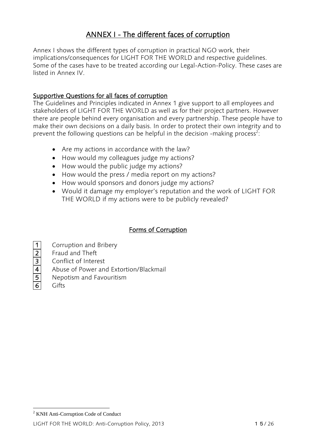## ANNEX I - The different faces of corruption

Annex I shows the different types of corruption in practical NGO work, their implications/consequences for LIGHT FOR THE WORLD and respective guidelines. Some of the cases have to be treated according our Legal-Action-Policy. These cases are listed in Annex IV.

#### Supportive Questions for all faces of corruption

The Guidelines and Principles indicated in Annex 1 give support to all employees and stakeholders of LIGHT FOR THE WORLD as well as for their project partners. However there are people behind every organisation and every partnership. These people have to make their own decisions on a daily basis. In order to protect their own integrity and to prevent the following questions can be helpful in the decision -making process<sup>2</sup>:

- Are my actions in accordance with the law?
- How would my colleagues judge my actions?
- How would the public judge my actions?
- How would the press / media report on my actions?
- How would sponsors and donors judge my actions?
- Would it damage my employer's reputation and the work of LIGHT FOR THE WORLD if my actions were to be publicly revealed?

#### Forms of Corruption

1 Corruption and Bribery 2 Fraud and Theft **3** Conflict of Interest 4 Abuse of Power and Extortion/Blackmail 5 Nepotism and Favouritism 6 Gifts

 $\overline{a}$ 

<sup>2</sup> KNH Anti-Corruption Code of Conduct

LIGHT FOR THE WORLD: Anti-Corruption Policy, 2013 15/26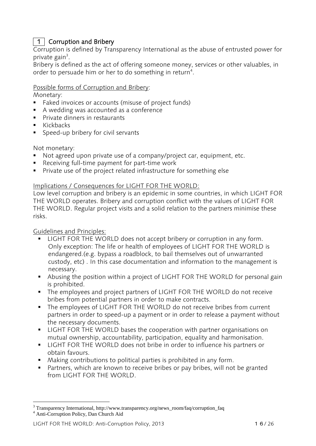### 1 | Corruption and Bribery

Corruption is defined by Transparency International as the abuse of entrusted power for private gain<sup>3</sup>.

Bribery is defined as the act of offering someone money, services or other valuables, in order to persuade him or her to do something in return<sup>4</sup>.

#### Possible forms of Corruption and Bribery:

Monetary:

- Faked invoices or accounts (misuse of project funds)
- A wedding was accounted as a conference
- **Private dinners in restaurants**
- $\blacksquare$  Kickbacks
- Speed-up bribery for civil servants

Not monetary:

- Not agreed upon private use of a company/project car, equipment, etc.
- Receiving full-time payment for part-time work
- **Private use of the project related infrastructure for something else**

#### Implications / Consequences for LIGHT FOR THE WORLD:

Low level corruption and bribery is an epidemic in some countries, in which LIGHT FOR THE WORLD operates. Bribery and corruption conflict with the values of LIGHT FOR THE WORLD. Regular project visits and a solid relation to the partners minimise these risks.

Guidelines and Principles:

- **LIGHT FOR THE WORLD does not accept bribery or corruption in any form.** Only exception: The life or health of employees of LIGHT FOR THE WORLD is endangered.(e.g. bypass a roadblock, to bail themselves out of unwarranted custody, etc) . In this case documentation and information to the management is necessary.
- Abusing the position within a project of LIGHT FOR THE WORLD for personal gain is prohibited.
- The employees and project partners of LIGHT FOR THE WORLD do not receive bribes from potential partners in order to make contracts.
- The employees of LIGHT FOR THE WORLD do not receive bribes from current partners in order to speed-up a payment or in order to release a payment without the necessary documents.
- **LIGHT FOR THE WORLD bases the cooperation with partner organisations on** mutual ownership, accountability, participation, equality and harmonisation.
- LIGHT FOR THE WORLD does not bribe in order to influence his partners or obtain favours.
- Making contributions to political parties is prohibited in any form.
- Partners, which are known to receive bribes or pay bribes, will not be granted from LIGHT FOR THE WORLD.

 $\overline{a}$ 

<sup>3</sup> Transparency International, http://www.transparency.org/news\_room/faq/corruption\_faq <sup>4</sup> Anti-Corruption Policy, Dan Church Aid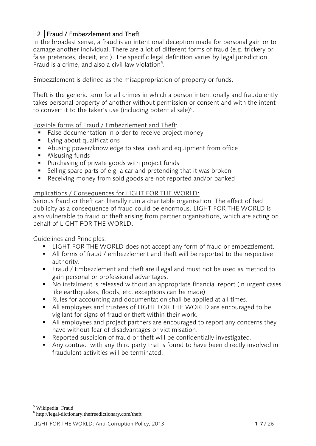### 2 | Fraud / Embezzlement and Theft

In the broadest sense, a fraud is an intentional [deception](http://en.wikipedia.org/wiki/Deception) made for personal gain or to damage another individual. There are a lot of different forms of fraud (e.g. trickery or false pretences, deceit, etc.). The specific legal definition varies by legal jurisdiction. Fraud is a [crime,](http://en.wikipedia.org/wiki/Crime) and also a [civil law](http://en.wikipedia.org/wiki/Civil_law_(common_law)) violation<sup>5</sup>.

Embezzlement is defined as the misappropriation of property or funds.

Theft is the generic term for all crimes in which a person intentionally and fraudulently takes personal property of another without permission or consent and with the intent to convert it to the taker's use (including potential sale) $^6$ .

Possible forms of Fraud / Embezzlement and Theft:

- **False documentation in order to receive project money**
- **Lying about qualifications**
- Abusing power/knowledge to steal cash and equipment from office
- **Misusing funds**
- **Purchasing of private goods with project funds**
- Selling spare parts of e.g. a car and pretending that it was broken
- Receiving money from sold goods are not reported and/or banked

#### Implications / Consequences for LIGHT FOR THE WORLD:

Serious fraud or theft can literally ruin a charitable organisation. The effect of bad publicity as a consequence of fraud could be enormous. LIGHT FOR THE WORLD is also vulnerable to fraud or theft arising from partner organisations, which are acting on behalf of LIGHT FOR THE WORLD.

Guidelines and Principles:

- **LIGHT FOR THE WORLD does not accept any form of fraud or embezzlement.**
- All forms of fraud / embezzlement and theft will be reported to the respective authority.
- Fraud / Embezzlement and theft are illegal and must not be used as method to gain personal or professional advantages.
- No instalment is released without an appropriate financial report (in urgent cases like earthquakes, floods, etc. exceptions can be made)
- Rules for accounting and documentation shall be applied at all times.
- All employees and trustees of LIGHT FOR THE WORLD are encouraged to be vigilant for signs of fraud or theft within their work.
- All employees and project partners are encouraged to report any concerns they have without fear of disadvantages or victimisation.
- Reported suspicion of fraud or theft will be confidentially investigated.
- Any contract with any third party that is found to have been directly involved in fraudulent activities will be terminated.

<sup>5</sup> Wikipedia: Fraud

 $\overline{a}$ 

6 http://legal-dictionary.thefreedictionary.com/theft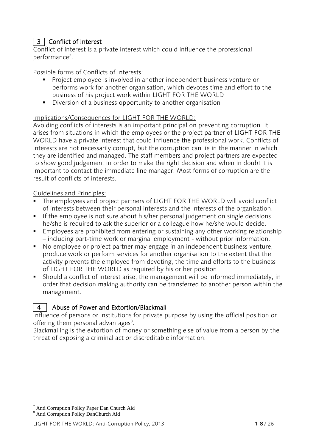### 3 Conflict of Interest

Conflict of interest is a private interest which could influence the professional performance<sup>7</sup>.

#### Possible forms of Conflicts of Interests:

- Project employee is involved in another independent business venture or performs work for another organisation, which devotes time and effort to the business of his project work within LIGHT FOR THE WORLD
- Diversion of a business opportunity to another organisation

#### Implications/Consequences for LIGHT FOR THE WORLD:

Avoiding conflicts of interests is an important principal on preventing corruption. It arises from situations in which the employees or the project partner of LIGHT FOR THE WORLD have a private interest that could influence the professional work. Conflicts of interests are not necessarily corrupt, but the corruption can lie in the manner in which they are identified and managed. The staff members and project partners are expected to show good judgement in order to make the right decision and when in doubt it is important to contact the immediate line manager. Most forms of corruption are the result of conflicts of interests.

#### Guidelines and Principles:

- The employees and project partners of LIGHT FOR THE WORLD will avoid conflict of interests between their personal interests and the interests of the organisation.
- If the employee is not sure about his/her personal judgement on single decisions he/she is required to ask the superior or a colleague how he/she would decide.
- Employees are prohibited from entering or sustaining any other working relationship – including part-time work or marginal employment - without prior information.
- No employee or project partner may engage in an independent business venture, produce work or perform services for another organisation to the extent that the activity prevents the employee from devoting, the time and efforts to the business of LIGHT FOR THE WORLD as required by his or her position
- Should a conflict of interest arise, the management will be informed immediately, in order that decision making authority can be transferred to another person within the management.

#### 4 Abuse of Power and Extortion/Blackmail

Influence of persons or institutions for private purpose by using the official position or offering them personal advantages<sup>8</sup>.

Blackmailing is the extortion of money or something else of value from a person by the threat of exposing a criminal act or discreditable information.

 $\overline{a}$ <sup>7</sup> Anti Corruption Policy Paper Dan Church Aid

<sup>8</sup> Anti Corruption Policy DanChurch Aid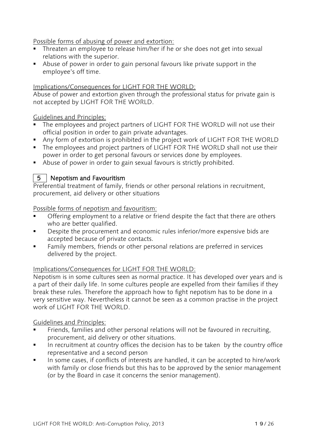#### Possible forms of abusing of power and extortion:

- **Threaten an employee to release him/her if he or she does not get into sexual** relations with the superior.
- Abuse of power in order to gain personal favours like private support in the employee's off time.

#### Implications/Consequences for LIGHT FOR THE WORLD:

Abuse of power and extortion given through the professional status for private gain is not accepted by LIGHT FOR THE WORLD.

#### Guidelines and Principles:

- The employees and project partners of LIGHT FOR THE WORLD will not use their official position in order to gain private advantages.
- Any form of extortion is prohibited in the project work of LIGHT FOR THE WORLD
- The employees and project partners of LIGHT FOR THE WORLD shall not use their power in order to get personal favours or services done by employees.
- Abuse of power in order to gain sexual favours is strictly prohibited.

#### 5 Nepotism and Favouritism

Preferential treatment of family, friends or other personal relations in recruitment, procurement, aid delivery or other situations

Possible forms of nepotism and favouritism:

- Offering employment to a relative or friend despite the fact that there are others who are better qualified.
- Despite the procurement and economic rules inferior/more expensive bids are accepted because of private contacts.
- Family members, friends or other personal relations are preferred in services delivered by the project.

#### Implications/Consequences for LIGHT FOR THE WORLD:

Nepotism is in some cultures seen as normal practice. It has developed over years and is a part of their daily life. In some cultures people are expelled from their families if they break these rules. Therefore the approach how to fight nepotism has to be done in a very sensitive way. Nevertheless it cannot be seen as a common practise in the project work of LIGHT FOR THE WORLD.

#### Guidelines and Principles:

- Friends, families and other personal relations will not be favoured in recruiting, procurement, aid delivery or other situations.
- In recruitment at country offices the decision has to be taken by the country office representative and a second person
- In some cases, if conflicts of interests are handled, it can be accepted to hire/work with family or close friends but this has to be approved by the senior management (or by the Board in case it concerns the senior management).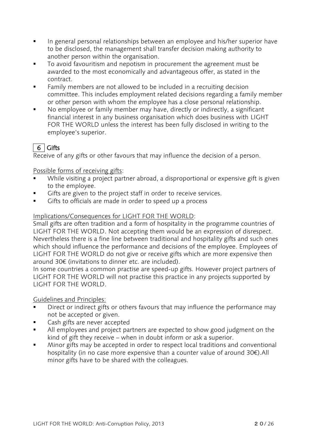- **IF** In general personal relationships between an employee and his/her superior have to be disclosed, the management shall transfer decision making authority to another person within the organisation.
- To avoid favouritism and nepotism in procurement the agreement must be awarded to the most economically and advantageous offer, as stated in the contract.
- Family members are not allowed to be included in a recruiting decision committee. This includes employment related decisions regarding a family member or other person with whom the employee has a close personal relationship.
- No employee or family member may have, directly or indirectly, a significant financial interest in any business organisation which does business with LIGHT FOR THE WORLD unless the interest has been fully disclosed in writing to the employee's superior.

### 6 Gifts

Receive of any gifts or other favours that may influence the decision of a person.

Possible forms of receiving gifts:

- While visiting a project partner abroad, a disproportional or expensive gift is given to the employee.
- Gifts are given to the project staff in order to receive services.
- Gifts to officials are made in order to speed up a process

#### Implications/Consequences for LIGHT FOR THE WORLD:

Small gifts are often tradition and a form of hospitality in the programme countries of LIGHT FOR THE WORLD. Not accepting them would be an expression of disrespect. Nevertheless there is a fine line between traditional and hospitality gifts and such ones which should influence the performance and decisions of the employee. Employees of LIGHT FOR THE WORLD do not give or receive gifts which are more expensive then around 30€ (invitations to dinner etc. are included).

In some countries a common practise are speed-up gifts. However project partners of LIGHT FOR THE WORLD will not practise this practice in any projects supported by LIGHT FOR THE WORLD.

#### Guidelines and Principles:

- Direct or indirect gifts or others favours that may influence the performance may not be accepted or given.
- Cash gifts are never accepted
- All employees and project partners are expected to show good judgment on the kind of gift they receive – when in doubt inform or ask a superior.
- Minor gifts may be accepted in order to respect local traditions and conventional hospitality (in no case more expensive than a counter value of around 30€).All minor gifts have to be shared with the colleagues.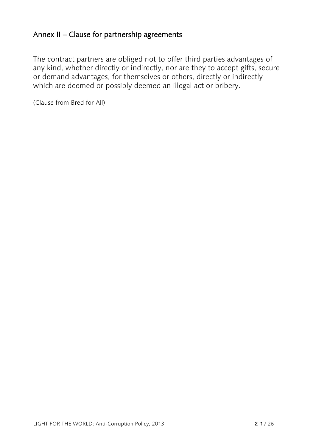## Annex II – Clause for partnership agreements

The contract partners are obliged not to offer third parties advantages of any kind, whether directly or indirectly, nor are they to accept gifts, secure or demand advantages, for themselves or others, directly or indirectly which are deemed or possibly deemed an illegal act or bribery.

(Clause from Bred for All)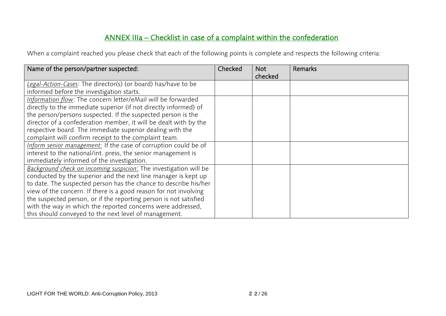# ANNEX IIIa – Checklist in case of a complaint within the confederation

When a complaint reached you please check that each of the following points is complete and respects the following criteria:

| Name of the person/partner suspected:                             | Checked | <b>Not</b><br>checked | <b>Remarks</b> |
|-------------------------------------------------------------------|---------|-----------------------|----------------|
| Legal-Action-Cases: The director(s) (or board) has/have to be     |         |                       |                |
| informed before the investigation starts.                         |         |                       |                |
| Information flow: The concern letter/eMail will be forwarded      |         |                       |                |
| directly to the immediate superior (if not directly informed) of  |         |                       |                |
| the person/persons suspected. If the suspected person is the      |         |                       |                |
| director of a confederation member, it will be dealt with by the  |         |                       |                |
| respective board. The immediate superior dealing with the         |         |                       |                |
| complaint will confirm receipt to the complaint team.             |         |                       |                |
| Inform senior management: If the case of corruption could be of   |         |                       |                |
| interest to the national/int. press, the senior management is     |         |                       |                |
| immediately informed of the investigation.                        |         |                       |                |
| Background check on incoming suspicion: The investigation will be |         |                       |                |
| conducted by the superior and the next line manager is kept up    |         |                       |                |
| to date. The suspected person has the chance to describe his/her  |         |                       |                |
| view of the concern. If there is a good reason for not involving  |         |                       |                |
| the suspected person, or if the reporting person is not satisfied |         |                       |                |
| with the way in which the reported concerns were addressed,       |         |                       |                |
| this should conveyed to the next level of management.             |         |                       |                |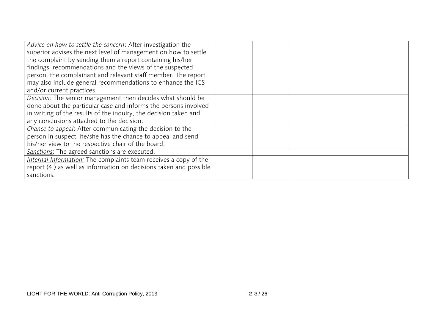| Advice on how to settle the concern: After investigation the       |  |  |
|--------------------------------------------------------------------|--|--|
| superior advises the next level of management on how to settle     |  |  |
| the complaint by sending them a report containing his/her          |  |  |
| findings, recommendations and the views of the suspected           |  |  |
| person, the complainant and relevant staff member. The report      |  |  |
| may also include general recommendations to enhance the ICS        |  |  |
| and/or current practices.                                          |  |  |
| Decision: The senior management then decides what should be        |  |  |
| done about the particular case and informs the persons involved    |  |  |
| in writing of the results of the inquiry, the decision taken and   |  |  |
| any conclusions attached to the decision.                          |  |  |
| Chance to appeal: After communicating the decision to the          |  |  |
| person in suspect, he/she has the chance to appeal and send        |  |  |
| his/her view to the respective chair of the board.                 |  |  |
| Sanctions: The agreed sanctions are executed.                      |  |  |
| Internal Information: The complaints team receives a copy of the   |  |  |
| report (4.) as well as information on decisions taken and possible |  |  |
| sanctions.                                                         |  |  |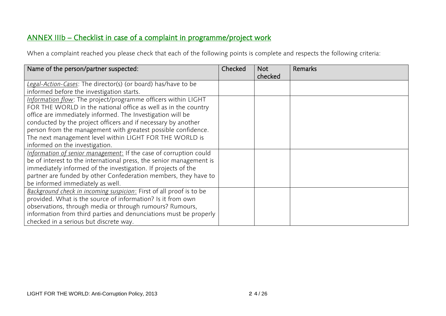# ANNEX IIIb – Checklist in case of a complaint in programme/project work

When a complaint reached you please check that each of the following points is complete and respects the following criteria:

| Name of the person/partner suspected:                               | Checked | <b>Not</b><br>checked | <b>Remarks</b> |
|---------------------------------------------------------------------|---------|-----------------------|----------------|
| Legal-Action-Cases: The director(s) (or board) has/have to be       |         |                       |                |
| informed before the investigation starts.                           |         |                       |                |
| Information flow: The project/programme officers within LIGHT       |         |                       |                |
| FOR THE WORLD in the national office as well as in the country      |         |                       |                |
| office are immediately informed. The Investigation will be          |         |                       |                |
| conducted by the project officers and if necessary by another       |         |                       |                |
| person from the management with greatest possible confidence.       |         |                       |                |
| The next management level within LIGHT FOR THE WORLD is             |         |                       |                |
| informed on the investigation.                                      |         |                       |                |
| Information of senior management: If the case of corruption could   |         |                       |                |
| be of interest to the international press, the senior management is |         |                       |                |
| immediately informed of the investigation. If projects of the       |         |                       |                |
| partner are funded by other Confederation members, they have to     |         |                       |                |
| be informed immediately as well.                                    |         |                       |                |
| Background check in incoming suspicion: First of all proof is to be |         |                       |                |
| provided. What is the source of information? Is it from own         |         |                       |                |
| observations, through media or through rumours? Rumours,            |         |                       |                |
| information from third parties and denunciations must be properly   |         |                       |                |
| checked in a serious but discrete way.                              |         |                       |                |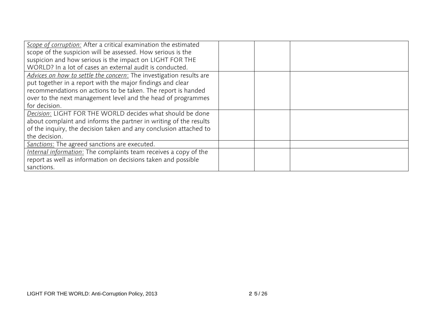| Scope of corruption: After a critical examination the estimated     |  |  |
|---------------------------------------------------------------------|--|--|
| scope of the suspicion will be assessed. How serious is the         |  |  |
| suspicion and how serious is the impact on LIGHT FOR THE            |  |  |
| WORLD? In a lot of cases an external audit is conducted.            |  |  |
| Advices on how to settle the concern: The investigation results are |  |  |
| put together in a report with the major findings and clear          |  |  |
| recommendations on actions to be taken. The report is handed        |  |  |
| over to the next management level and the head of programmes        |  |  |
| for decision.                                                       |  |  |
| Decision: LIGHT FOR THE WORLD decides what should be done           |  |  |
| about complaint and informs the partner in writing of the results   |  |  |
| of the inquiry, the decision taken and any conclusion attached to   |  |  |
| the decision.                                                       |  |  |
| <b>Sanctions:</b> The agreed sanctions are executed.                |  |  |
| Internal information: The complaints team receives a copy of the    |  |  |
| report as well as information on decisions taken and possible       |  |  |
| sanctions.                                                          |  |  |